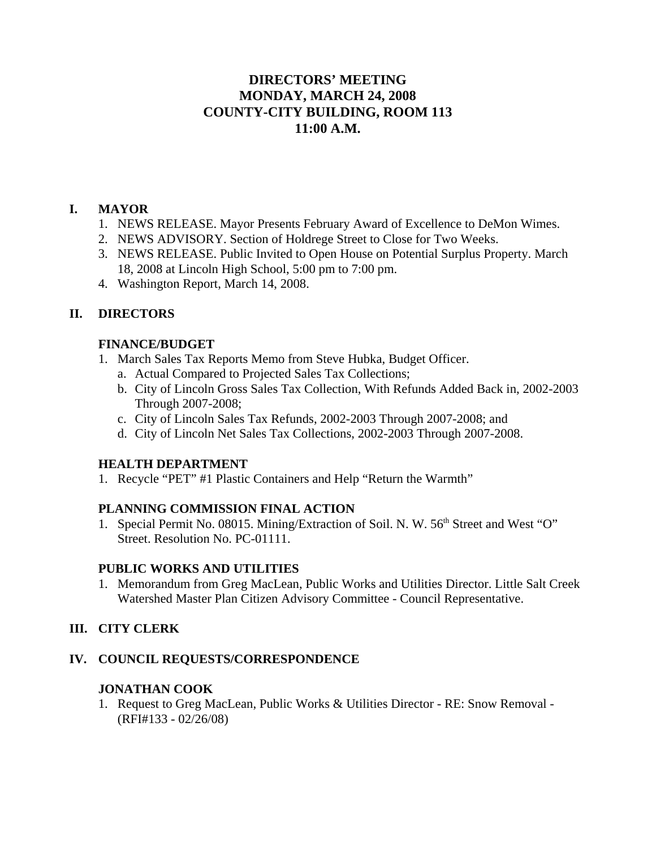# **DIRECTORS' MEETING MONDAY, MARCH 24, 2008 COUNTY-CITY BUILDING, ROOM 113 11:00 A.M.**

### **I. MAYOR**

- 1. NEWS RELEASE. Mayor Presents February Award of Excellence to DeMon Wimes.
- 2. NEWS ADVISORY. Section of Holdrege Street to Close for Two Weeks.
- 3. NEWS RELEASE. Public Invited to Open House on Potential Surplus Property. March 18, 2008 at Lincoln High School, 5:00 pm to 7:00 pm.
- 4. Washington Report, March 14, 2008.

### **II. DIRECTORS**

### **FINANCE/BUDGET**

- 1. March Sales Tax Reports Memo from Steve Hubka, Budget Officer.
	- a. Actual Compared to Projected Sales Tax Collections;
	- b. City of Lincoln Gross Sales Tax Collection, With Refunds Added Back in, 2002-2003 Through 2007-2008;
	- c. City of Lincoln Sales Tax Refunds, 2002-2003 Through 2007-2008; and
	- d. City of Lincoln Net Sales Tax Collections, 2002-2003 Through 2007-2008.

### **HEALTH DEPARTMENT**

1. Recycle "PET" #1 Plastic Containers and Help "Return the Warmth"

### **PLANNING COMMISSION FINAL ACTION**

1. Special Permit No. 08015. Mining/Extraction of Soil. N. W. 56<sup>th</sup> Street and West "O" Street. Resolution No. PC-01111.

### **PUBLIC WORKS AND UTILITIES**

1. Memorandum from Greg MacLean, Public Works and Utilities Director. Little Salt Creek Watershed Master Plan Citizen Advisory Committee - Council Representative.

## **III. CITY CLERK**

### **IV. COUNCIL REQUESTS/CORRESPONDENCE**

## **JONATHAN COOK**

1. Request to Greg MacLean, Public Works & Utilities Director - RE: Snow Removal - (RFI#133 - 02/26/08)